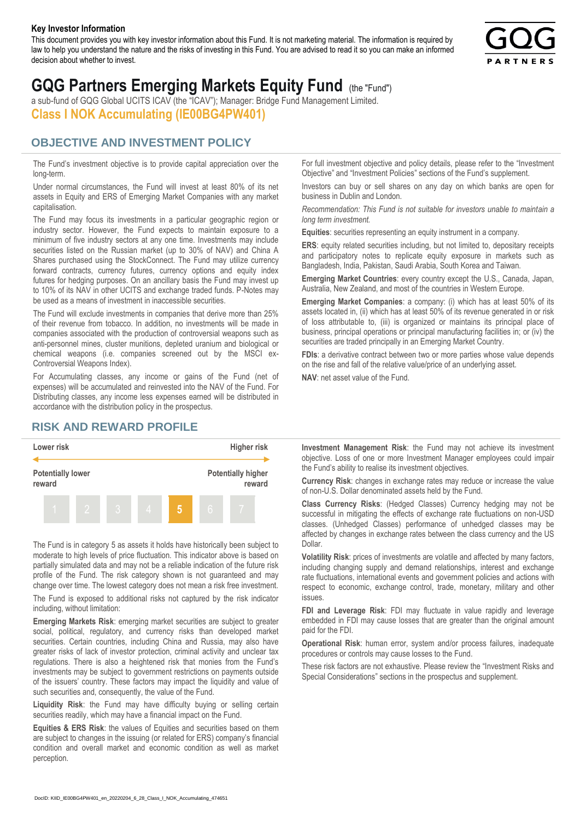#### **Key Investor Information**

This document provides you with key investor information about this Fund. It is not marketing material. The information is required by law to help you understand the nature and the risks of investing in this Fund. You are advised to read it so you can make an informed decision about whether to invest.



# **GQG Partners Emerging Markets Equity Fund** (the "Fund")

a sub-fund of GQG Global UCITS ICAV (the "ICAV"); Manager: Bridge Fund Management Limited. **Class I NOK Accumulating (IE00BG4PW401)**

### **OBJECTIVE AND INVESTMENT POLICY**

The Fund's investment objective is to provide capital appreciation over the long-term.

Under normal circumstances, the Fund will invest at least 80% of its net assets in Equity and ERS of Emerging Market Companies with any market capitalisation.

The Fund may focus its investments in a particular geographic region or industry sector. However, the Fund expects to maintain exposure to a minimum of five industry sectors at any one time. Investments may include securities listed on the Russian market (up to 30% of NAV) and China A Shares purchased using the StockConnect. The Fund may utilize currency forward contracts, currency futures, currency options and equity index futures for hedging purposes. On an ancillary basis the Fund may invest up to 10% of its NAV in other UCITS and exchange traded funds. P-Notes may be used as a means of investment in inaccessible securities.

The Fund will exclude investments in companies that derive more than 25% of their revenue from tobacco. In addition, no investments will be made in companies associated with the production of controversial weapons such as anti-personnel mines, cluster munitions, depleted uranium and biological or chemical weapons (i.e. companies screened out by the MSCI ex-Controversial Weapons Index).

For Accumulating classes, any income or gains of the Fund (net of expenses) will be accumulated and reinvested into the NAV of the Fund. For Distributing classes, any income less expenses earned will be distributed in accordance with the distribution policy in the prospectus.

## **RISK AND REWARD PROFILE**



The Fund is in category 5 as assets it holds have historically been subject to moderate to high levels of price fluctuation. This indicator above is based on partially simulated data and may not be a reliable indication of the future risk profile of the Fund. The risk category shown is not guaranteed and may change over time. The lowest category does not mean a risk free investment.

The Fund is exposed to additional risks not captured by the risk indicator including, without limitation:

**Emerging Markets Risk**: emerging market securities are subject to greater social, political, regulatory, and currency risks than developed market securities. Certain countries, including China and Russia, may also have greater risks of lack of investor protection, criminal activity and unclear tax regulations. There is also a heightened risk that monies from the Fund's investments may be subject to government restrictions on payments outside of the issuers' country. These factors may impact the liquidity and value of such securities and, consequently, the value of the Fund.

**Liquidity Risk**: the Fund may have difficulty buying or selling certain securities readily, which may have a financial impact on the Fund.

**Equities & ERS Risk**: the values of Equities and securities based on them are subject to changes in the issuing (or related for ERS) company's financial condition and overall market and economic condition as well as market perception.

For full investment objective and policy details, please refer to the "Investment Objective" and "Investment Policies" sections of the Fund's supplement.

Investors can buy or sell shares on any day on which banks are open for business in Dublin and London.

*Recommendation: This Fund is not suitable for investors unable to maintain a long term investment.*

**Equities**: securities representing an equity instrument in a company.

**ERS:** equity related securities including, but not limited to, depositary receipts and participatory notes to replicate equity exposure in markets such as Bangladesh, India, Pakistan, Saudi Arabia, South Korea and Taiwan.

**Emerging Market Countries**: every country except the U.S., Canada, Japan, Australia, New Zealand, and most of the countries in Western Europe.

**Emerging Market Companies**: a company: (i) which has at least 50% of its assets located in, (ii) which has at least 50% of its revenue generated in or risk of loss attributable to, (iii) is organized or maintains its principal place of business, principal operations or principal manufacturing facilities in; or (iv) the securities are traded principally in an Emerging Market Country.

**FDIs**: a derivative contract between two or more parties whose value depends on the rise and fall of the relative value/price of an underlying asset.

**NAV**: net asset value of the Fund.

**Investment Management Risk**: the Fund may not achieve its investment objective. Loss of one or more Investment Manager employees could impair the Fund's ability to realise its investment objectives.

**Currency Risk**: changes in exchange rates may reduce or increase the value of non-U.S. Dollar denominated assets held by the Fund.

**Class Currency Risks**: (Hedged Classes) Currency hedging may not be successful in mitigating the effects of exchange rate fluctuations on non-USD classes. (Unhedged Classes) performance of unhedged classes may be affected by changes in exchange rates between the class currency and the US Dollar.

**Volatility Risk**: prices of investments are volatile and affected by many factors, including changing supply and demand relationships, interest and exchange rate fluctuations, international events and government policies and actions with respect to economic, exchange control, trade, monetary, military and other issues.

**FDI and Leverage Risk**: FDI may fluctuate in value rapidly and leverage embedded in FDI may cause losses that are greater than the original amount paid for the FDI.

**Operational Risk**: human error, system and/or process failures, inadequate procedures or controls may cause losses to the Fund.

These risk factors are not exhaustive. Please review the "Investment Risks and Special Considerations" sections in the prospectus and supplement.